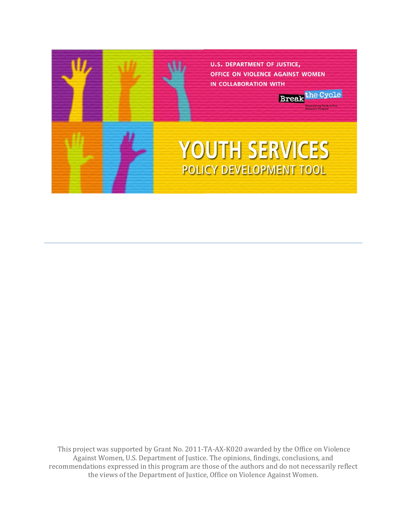

 This project was supported by Grant No. 2011‐TA‐AX‐K020 awarded by the Office on Violence Against Women, U.S. Department of Justice. The opinions, findings, conclusions, and recommendations expressed in this program are those of the authors and do not necessarily reflect the views of the Department of Justice, Office on Violence Against Women.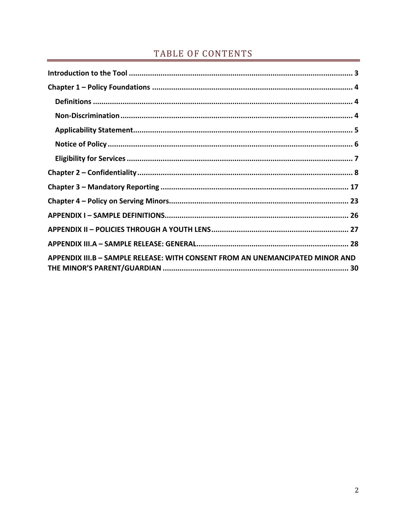# TABLE OF CONTENTS

| APPENDIX III.B - SAMPLE RELEASE: WITH CONSENT FROM AN UNEMANCIPATED MINOR AND |  |
|-------------------------------------------------------------------------------|--|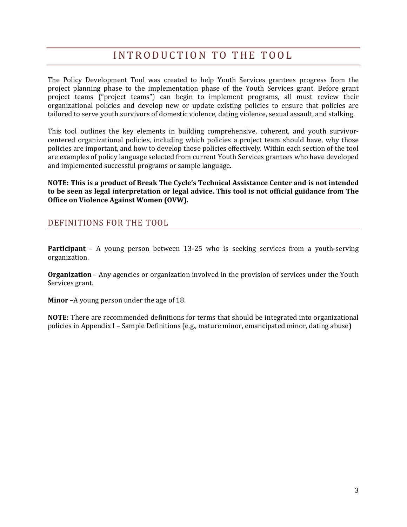# INTRODUCTION TO THE TOOL

The Policy Development Tool was created to help Youth Services grantees progress from the project planning phase to the implementation phase of the Youth Services grant. Before grant project teams ("project teams") can begin to implement programs, all must review their organizational policies and develop new or update existing policies to ensure that policies are tailored to serve youth survivors of domestic violence, dating violence, sexual assault, and stalking.

This tool outlines the key elements in building comprehensive, coherent, and youth survivorcentered organizational policies, including which policies a project team should have, why those policies are important, and how to develop those policies effectively. Within each section of the tool are examples of policy language selected from current Youth Services grantees who have developed and implemented successful programs or sample language.

**NOTE: This is a product of Break The Cycle's Technical Assistance Center and is not intended to be seen as legal interpretation or legal advice. This tool is not official guidance from The Office on Violence Against Women (OVW).**

## DEFINITIONS FOR THE TOOL

**Participant** – A young person between 13-25 who is seeking services from a youth-serving organization.

**Organization** – Any agencies or organization involved in the provision of services under the Youth Services grant.

**Minor** –A young person under the age of 18.

**NOTE:** There are recommended definitions for terms that should be integrated into organizational policies in Appendix I – Sample Definitions (e.g., mature minor, emancipated minor, dating abuse)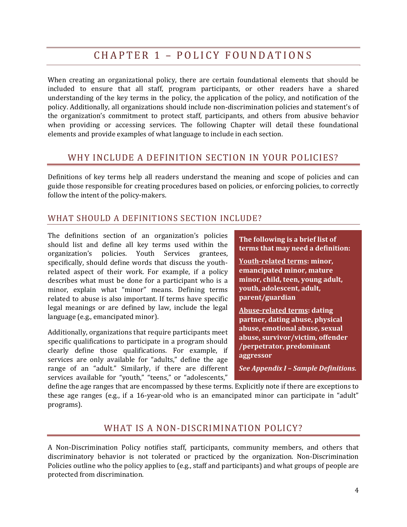# CHAPTER 1 – POLICY FOUNDATIONS

When creating an organizational policy, there are certain foundational elements that should be included to ensure that all staff, program participants, or other readers have a shared understanding of the key terms in the policy, the application of the policy, and notification of the policy. Additionally, all organizations should include non‐discrimination policies and statement's of the organization's commitment to protect staff, participants, and others from abusive behavior when providing or accessing services. The following Chapter will detail these foundational elements and provide examples of what language to include in each section.

## WHY INCLUDE A DEFINITION SECTION IN YOUR POLICIES?

Definitions of key terms help all readers understand the meaning and scope of policies and can guide those responsible for creating procedures based on policies, or enforcing policies, to correctly follow the intent of the policy-makers.

## WHAT SHOULD A DEFINITIONS SECTION INCLUDE?

The definitions section of an organization's policies should list and define all key terms used within the organization's policies. Youth Services grantees, specifically, should define words that discuss the youthrelated aspect of their work. For example, if a policy describes what must be done for a participant who is a minor, explain what "minor" means. Defining terms related to abuse is also important. If terms have specific legal meanings or are defined by law, include the legal language (e.g., emancipated minor).

Additionally, organizations that require participants meet specific qualifications to participate in a program should clearly define those qualifications. For example, if services are only available for "adults," define the age range of an "adult." Similarly, if there are different services available for "youth," "teens," or "adolescents,"

**The following is a brief list of terms that may need a definition:**

**Youthrelated terms: minor, emancipated minor, mature minor, child, teen, young adult, youth, adolescent, adult, parent/guardian**

**Abuserelated terms: dating partner, dating abuse, physical abuse, emotional abuse, sexual abuse, survivor/victim, offender /perpetrator, predominant aggressor**

*See Appendix I – Sample Definitions.*

define the age ranges that are encompassed by these terms. Explicitly note if there are exceptions to these age ranges (e.g., if a 16-year-old who is an emancipated minor can participate in "adult" programs).

# WHAT IS A NON-DISCRIMINATION POLICY?

A Non‐Discrimination Policy notifies staff, participants, community members, and others that discriminatory behavior is not tolerated or practiced by the organization. Non‐Discrimination Policies outline who the policy applies to (e.g., staff and participants) and what groups of people are protected from discrimination.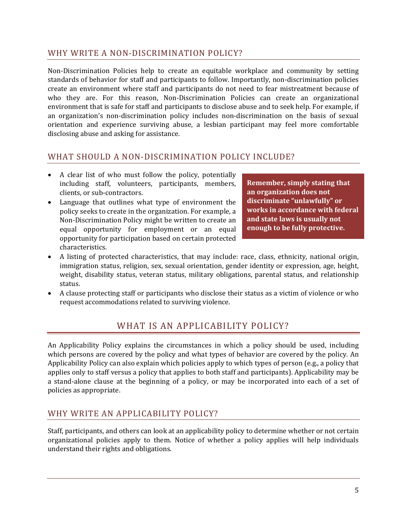## WHY WRITE A NON-DISCRIMINATION POLICY?

Non-Discrimination Policies help to create an equitable workplace and community by setting standards of behavior for staff and participants to follow. Importantly, non-discrimination policies create an environment where staff and participants do not need to fear mistreatment because of who they are. For this reason, Non-Discrimination Policies can create an organizational environment that is safe for staff and participants to disclose abuse and to seek help. For example, if an organization's non-discrimination policy includes non-discrimination on the basis of sexual orientation and experience surviving abuse, a lesbian participant may feel more comfortable disclosing abuse and asking for assistance.

## WHAT SHOULD A NON‐DISCRIMINATION POLICY INCLUDE?

- A clear list of who must follow the policy, potentially including staff, volunteers, participants, members, clients, or sub‐contractors.
- Language that outlines what type of environment the policy seeks to create in the organization. For example, a Non‐Discrimination Policy might be written to create an equal opportunity for employment or an equal opportunity for participation based on certain protected characteristics.

**Remember, simply stating that an organization does not discriminate "unlawfully" or works in accordance with federal and state laws is usually not enough to be fully protective.**

- A listing of protected characteristics, that may include: race, class, ethnicity, national origin, immigration status, religion, sex, sexual orientation, gender identity or expression, age, height, weight, disability status, veteran status, military obligations, parental status, and relationship status.
- A clause protecting staff or participants who disclose their status as a victim of violence or who request accommodations related to surviving violence.

# WHAT IS AN APPLICABILITY POLICY?

An Applicability Policy explains the circumstances in which a policy should be used, including which persons are covered by the policy and what types of behavior are covered by the policy. An Applicability Policy can also explain which policies apply to which types of person (e.g., a policy that applies only to staff versus a policy that applies to both staff and participants). Applicability may be a stand-alone clause at the beginning of a policy, or may be incorporated into each of a set of policies as appropriate.

# WHY WRITE AN APPLICABILITY POLICY?

Staff, participants, and others can look at an applicability policy to determine whether or not certain organizational policies apply to them. Notice of whether a policy applies will help individuals understand their rights and obligations.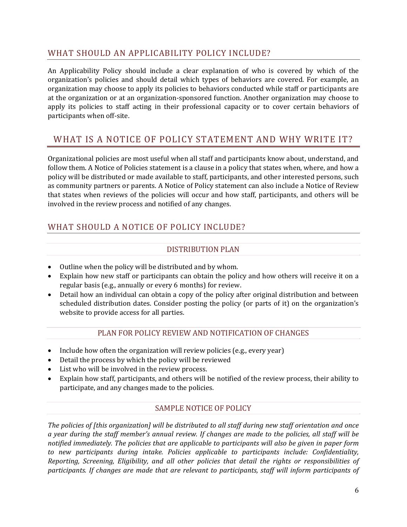# WHAT SHOULD AN APPLICABILITY POLICY INCLUDE?

An Applicability Policy should include a clear explanation of who is covered by which of the organization's policies and should detail which types of behaviors are covered. For example, an organization may choose to apply its policies to behaviors conducted while staff or participants are at the organization or at an organization‐sponsored function. Another organization may choose to apply its policies to staff acting in their professional capacity or to cover certain behaviors of participants when off‐site.

# WHAT IS A NOTICE OF POLICY STATEMENT AND WHY WRITE IT?

Organizational policies are most useful when all staff and participants know about, understand, and follow them. A Notice of Policies statement is a clause in a policy that states when, where, and how a policy will be distributed or made available to staff, participants, and other interested persons, such as community partners or parents. A Notice of Policy statement can also include a Notice of Review that states when reviews of the policies will occur and how staff, participants, and others will be involved in the review process and notified of any changes.

# WHAT SHOULD A NOTICE OF POLICY INCLUDE?

## DISTRIBUTION PLAN

- Outline when the policy will be distributed and by whom.
- Explain how new staff or participants can obtain the policy and how others will receive it on a regular basis (e.g., annually or every 6 months) for review.
- Detail how an individual can obtain a copy of the policy after original distribution and between scheduled distribution dates. Consider posting the policy (or parts of it) on the organization's website to provide access for all parties.

## PLAN FOR POLICY REVIEW AND NOTIFICATION OF CHANGES

- Include how often the organization will review policies (e.g., every year)
- Detail the process by which the policy will be reviewed
- List who will be involved in the review process.
- Explain how staff, participants, and others will be notified of the review process, their ability to participate, and any changes made to the policies.

## SAMPLE NOTICE OF POLICY

The policies of [this organization] will be distributed to all staff during new staff orientation and once a year during the staff member's annual review. If changes are made to the policies, all staff will be *notified immediately. The policies that are applicable to participants will also be given in paper form to new participants during intake. Policies applicable to participants include: Confidentiality, Reporting, Screening, Eligibility, and all other policies that detail the rights or responsibilities of participants. If changes are made that are relevant to participants, staff will inform participants of*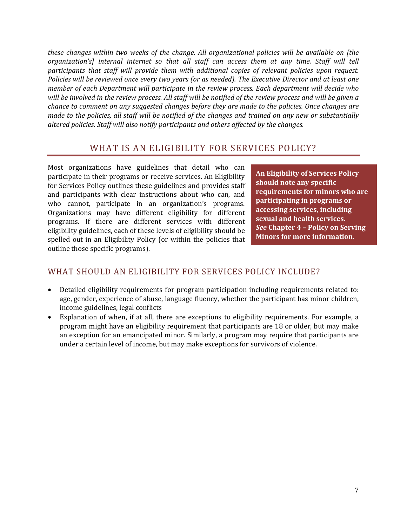*these changes within two weeks of the change. All organizational policies will be available on [the organization's] internal internet so that all staff can access them at any time. Staff will tell participants that staff will provide them with additional copies of relevant policies upon request.* Policies will be reviewed once every two years (or as needed). The Executive Director and at least one *member of each Department will participate in the review process. Each department will decide who* will be involved in the review process. All staff will be notified of the review process and will be given a *chance to comment on any suggested changes before they are made to the policies. Once changes are* made to the policies, all staff will be notified of the changes and trained on any new or substantially *altered policies. Staff will also notify participants and others affected by the changes.*

# WHAT IS AN ELIGIBILITY FOR SERVICES POLICY?

Most organizations have guidelines that detail who can participate in their programs or receive services. An Eligibility for Services Policy outlines these guidelines and provides staff and participants with clear instructions about who can, and who cannot, participate in an organization's programs. Organizations may have different eligibility for different programs. If there are different services with different eligibility guidelines, each of these levels of eligibility should be spelled out in an Eligibility Policy (or within the policies that outline those specific programs).

**An Eligibility of Services Policy should note any specific requirements for minors who are participating in programs or accessing services, including sexual and health services.**  *See* **Chapter 4 – Policy on Serving Minors for more information.**

# WHAT SHOULD AN ELIGIBILITY FOR SERVICES POLICY INCLUDE?

- Detailed eligibility requirements for program participation including requirements related to: age, gender, experience of abuse, language fluency, whether the participant has minor children, income guidelines, legal conflicts
- Explanation of when, if at all, there are exceptions to eligibility requirements. For example, a program might have an eligibility requirement that participants are 18 or older, but may make an exception for an emancipated minor. Similarly, a program may require that participants are under a certain level of income, but may make exceptions for survivors of violence.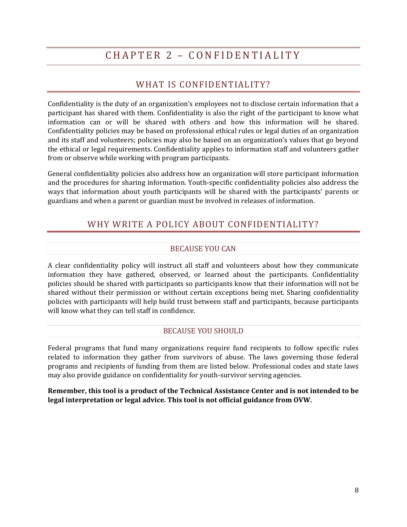# CHAPTER 2 – CONFIDENTIALITY

# WHAT IS CONFIDENTIALITY?

Confidentiality is the duty of an organization's employees not to disclose certain information that a participant has shared with them. Confidentiality is also the right of the participant to know what information can or will be shared with others and how this information will be shared. Confidentiality policies may be based on professional ethical rules or legal duties of an organization and its staff and volunteers; policies may also be based on an organization's values that go beyond the ethical or legal requirements. Confidentiality applies to information staff and volunteers gather from or observe while working with program participants.

General confidentiality policies also address how an organization will store participant information and the procedures for sharing information. Youth‐specific confidentiality policies also address the ways that information about youth participants will be shared with the participants' parents or guardians and when a parent or guardian must be involved in releases of information.

# WHY WRITE A POLICY ABOUT CONFIDENTIALITY?

## BECAUSE YOU CAN

A clear confidentiality policy will instruct all staff and volunteers about how they communicate information they have gathered, observed, or learned about the participants. Confidentiality policies should be shared with participants so participants know that their information will not be shared without their permission or without certain exceptions being met. Sharing confidentiality policies with participants will help build trust between staff and participants, because participants will know what they can tell staff in confidence.

### BECAUSE YOU SHOULD

Federal programs that fund many organizations require fund recipients to follow specific rules related to information they gather from survivors of abuse. The laws governing those federal programs and recipients of funding from them are listed below. Professional codes and state laws may also provide guidance on confidentiality for youth‐survivor serving agencies.

**Remember, this tool is a product of the Technical Assistance Center and is not intended to be legal interpretation or legal advice. This tool is not official guidance from OVW.**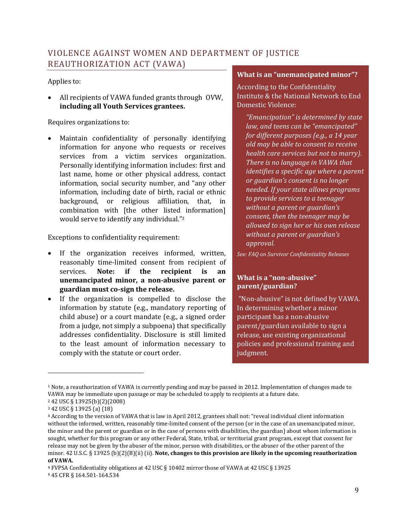# VIOLENCE AGAINST WOMEN AND DEPARTMENT OF JUSTICE REAUTHORIZATION ACT (VAWA)

### Applies to:

• All recipients of VAWA funded grants through OVW, **including all Youth Services grantees.**

#### Requires organizations to:

Maintain confidentiality of personally identifying information for anyone who requests or receives services from a victim services organization. Personally identifying information includes: first and last name, home or other physical address, contact information, social security number, and "any other information, including date of birth, racial or ethnic background, or religious affiliation, that, in combination with [the other listed information] would serve to identify any individual."3

Exceptions to confidentiality requirement:

- If the organization receives informed, written, reasonably time‐limited consent from recipient of services. **Note: if the recipient is an unemancipated minor, a nonabusive parent or guardian must cosign the release.**<sup>4</sup>
- If the organization is compelled to disclose the information by statute (e.g., mandatory reporting of child abuse) or a court mandate (e.g., a signed order from a judge, not simply a subpoena) that specifically addresses confidentiality. Disclosure is still limited to the least amount of information necessary to comply with the statute or court order.

#### **What is an "unemancipated minor"?**

According to the Confidentiality Institute & the National Network to End Domestic Violence:

*"Emancipation" is determined by state law, and teens can be "emancipated" for different purposes (e.g., a 14 year old may be able to consent to receive health care services but not to marry). There is no language in VAWA that identifies a specific age where a parent or guardian's consent is no longer needed. If your state allows programs to provide services to a teenager without a parent or guardian's consent, then the teenager may be allowed to sign her or his own release without a parent or guardian's approval.*

*See: FAQ on Survivor Confidentiality Releases*

## **What is a "nonabusive" parent/guardian?**

 "Non‐abusive" is not defined by VAWA. In determining whether a minor participant has a non‐abusive parent/guardian available to sign a release, use existing organizational policies and professional training and judgment.

<u> 1989 - Johann Stein, marwolaethau a bh</u>

<sup>1</sup> Note, a reauthorization of VAWA is currently pending and may be passed in 2012. Implementation of changes made to VAWA may be immediate upon passage or may be scheduled to apply to recipients at a future date.

<sup>2 42</sup> USC § 13925(b)(2)(2008)

<sup>3 42</sup> USC § 13925 (a) (18)

<sup>4</sup> According to the version of VAWA that is law in April 2012, grantees shall not: "reveal individual client information without the informed, written, reasonably time-limited consent of the person (or in the case of an unemancipated minor, the minor and the parent or guardian or in the case of persons with disabilities, the guardian) about whom information is sought, whether for this program or any other Federal, State, tribal, or territorial grant program, except that consent for release may not be given by the abuser of the minor, person with disabilities, or the abuser of the other parent of the minor. 42 U.S.C. § 13925 (b)(2)(B)(ii) (ii). **Note, changes to this provision are likely in the upcoming reauthorization of VAWA.**

<sup>4</sup> FVPSA Confidentiality obligations at 42 USC § 10402 mirror those of VAWA at 42 USC § 13925

<sup>4 45</sup> CFR § 164.501‐164.534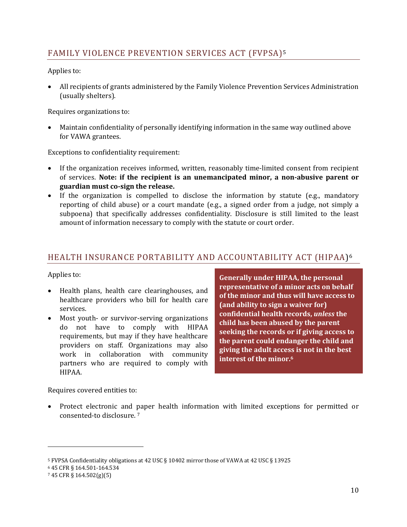# FAMILY VIOLENCE PREVENTION SERVICES ACT (FVPSA)5

Applies to:

• All recipients of grants administered by the Family Violence Prevention Services Administration (usually shelters).

Requires organizations to:

• Maintain confidentiality of personally identifying information in the same way outlined above for VAWA grantees.

Exceptions to confidentiality requirement:

- If the organization receives informed, written, reasonably time-limited consent from recipient of services. **Note: if the recipient is an unemancipated minor, a nonabusive parent or guardian must cosign the release.**
- If the organization is compelled to disclose the information by statute (e.g., mandatory reporting of child abuse) or a court mandate (e.g., a signed order from a judge, not simply a subpoena) that specifically addresses confidentiality. Disclosure is still limited to the least amount of information necessary to comply with the statute or court order.

# HEALTH INSURANCE PORTABILITY AND ACCOUNTABILITY ACT (HIPAA)6

## Applies to:

- Health plans, health care clearinghouses, and healthcare providers who bill for health care services.
- Most youth- or survivor-serving organizations do not have to comply with HIPAA requirements, but may if they have healthcare providers on staff. Organizations may also work in collaboration with community partners who are required to comply with HIPAA.

**Generally under HIPAA, the personal representative of a minor acts on behalf of the minor and thus will have access to (and ability to sign a waiver for) confidential health records,** *unless* **the child has been abused by the parent seeking the records or if giving access to the parent could endanger the child and giving the adult access is not in the best interest of the minor.6**

Requires covered entities to:

• Protect electronic and paper health information with limited exceptions for permitted or consented‐to disclosure. 7

<sup>5</sup> FVPSA Confidentiality obligations at 42 USC § 10402 mirror those of VAWA at 42 USC § 13925

<sup>6 45</sup> CFR § 164.501‐164.534

<sup>7 45</sup> CFR § 164.502(g)(5)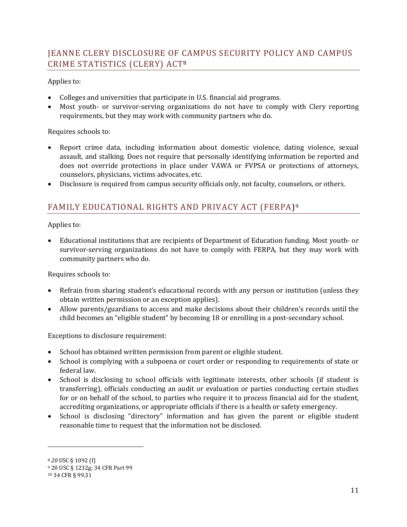# JEANNE CLERY DISCLOSURE OF CAMPUS SECURITY POLICY AND CAMPUS CRIME STATISTICS (CLERY) ACT8

## Applies to:

- Colleges and universities that participate in U.S. financial aid programs.
- Most youth- or survivor-serving organizations do not have to comply with Clery reporting requirements, but they may work with community partners who do.

### Requires schools to:

- Report crime data, including information about domestic violence, dating violence, sexual assault, and stalking. Does not require that personally identifying information be reported and does not override protections in place under VAWA or FVPSA or protections of attorneys, counselors, physicians, victims advocates, etc.
- Disclosure is required from campus security officials only, not faculty, counselors, or others.

# FAMILY EDUCATIONAL RIGHTS AND PRIVACY ACT (FERPA)9

Applies to:

• Educational institutions that are recipients of Department of Education funding. Most youth‐ or survivor-serving organizations do not have to comply with FERPA, but they may work with community partners who do.

### Requires schools to:

- Refrain from sharing student's educational records with any person or institution (unless they obtain written permission or an exception applies).
- Allow parents/guardians to access and make decisions about their children's records until the child becomes an "eligible student" by becoming 18 or enrolling in a post-secondary school.

Exceptions to disclosure requirement:

- School has obtained written permission from parent or eligible student.
- School is complying with a subpoena or court order or responding to requirements of state or federal law.
- School is disclosing to school officials with legitimate interests, other schools (if student is transferring), officials conducting an audit or evaluation or parties conducting certain studies for or on behalf of the school, to parties who require it to process financial aid for the student, accrediting organizations, or appropriate officials if there is a health or safety emergency.
- School is disclosing "directory" information and has given the parent or eligible student reasonable time to request that the information not be disclosed.

<sup>8</sup> *20* USC § 1092 (f)

<sup>9 20</sup> USC § 1232g; 34 CFR Part 99

<sup>10 34</sup> CFR § 99.31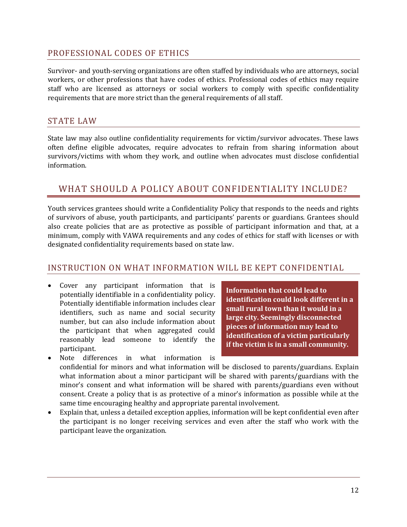## PROFESSIONAL CODES OF ETHICS

Survivor- and youth-serving organizations are often staffed by individuals who are attorneys, social workers, or other professions that have codes of ethics. Professional codes of ethics may require staff who are licensed as attorneys or social workers to comply with specific confidentiality requirements that are more strict than the general requirements of all staff.

## STATE LAW

State law may also outline confidentiality requirements for victim/survivor advocates. These laws often define eligible advocates, require advocates to refrain from sharing information about survivors/victims with whom they work, and outline when advocates must disclose confidential information.

# WHAT SHOULD A POLICY ABOUT CONFIDENTIALITY INCLUDE?

Youth services grantees should write a Confidentiality Policy that responds to the needs and rights of survivors of abuse, youth participants, and participants' parents or guardians. Grantees should also create policies that are as protective as possible of participant information and that, at a minimum, comply with VAWA requirements and any codes of ethics for staff with licenses or with designated confidentiality requirements based on state law.

## INSTRUCTION ON WHAT INFORMATION WILL BE KEPT CONFIDENTIAL

• Cover any participant information that is potentially identifiable in a confidentiality policy. Potentially identifiable information includes clear identifiers, such as name and social security number, but can also include information about the participant that when aggregated could reasonably lead someone to identify the participant.

**Information that could lead to identification could look different in a small rural town than it would in a large city. Seemingly disconnected pieces of information may lead to identification of a victim particularly if the victim is in a small community.**

- Note differences in what information is confidential for minors and what information will be disclosed to parents/guardians. Explain what information about a minor participant will be shared with parents/guardians with the minor's consent and what information will be shared with parents/guardians even without consent. Create a policy that is as protective of a minor's information as possible while at the same time encouraging healthy and appropriate parental involvement.
- Explain that, unless a detailed exception applies, information will be kept confidential even after the participant is no longer receiving services and even after the staff who work with the participant leave the organization.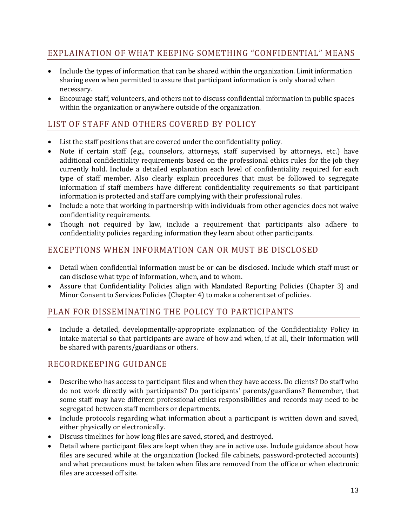# EXPLAINATION OF WHAT KEEPING SOMETHING "CONFIDENTIAL" MEANS

- Include the types of information that can be shared within the organization. Limit information sharing even when permitted to assure that participant information is only shared when necessary.
- Encourage staff, volunteers, and others not to discuss confidential information in public spaces within the organization or anywhere outside of the organization.

# LIST OF STAFF AND OTHERS COVERED BY POLICY

- List the staff positions that are covered under the confidentiality policy.
- Note if certain staff (e.g., counselors, attorneys, staff supervised by attorneys, etc.) have additional confidentiality requirements based on the professional ethics rules for the job they currently hold. Include a detailed explanation each level of confidentiality required for each type of staff member. Also clearly explain procedures that must be followed to segregate information if staff members have different confidentiality requirements so that participant information is protected and staff are complying with their professional rules.
- Include a note that working in partnership with individuals from other agencies does not waive confidentiality requirements.
- Though not required by law, include a requirement that participants also adhere to confidentiality policies regarding information they learn about other participants.

# EXCEPTIONS WHEN INFORMATION CAN OR MUST BE DISCLOSED

- Detail when confidential information must be or can be disclosed. Include which staff must or can disclose what type of information, when, and to whom.
- Assure that Confidentiality Policies align with Mandated Reporting Policies (Chapter 3) and Minor Consent to Services Policies (Chapter 4) to make a coherent set of policies.

# PLAN FOR DISSEMINATING THE POLICY TO PARTICIPANTS

• Include a detailed, developmentally-appropriate explanation of the Confidentiality Policy in intake material so that participants are aware of how and when, if at all, their information will be shared with parents/guardians or others.

## RECORDKEEPING GUIDANCE

- Describe who has access to participant files and when they have access. Do clients? Do staff who do not work directly with participants? Do participants' parents/guardians? Remember, that some staff may have different professional ethics responsibilities and records may need to be segregated between staff members or departments.
- Include protocols regarding what information about a participant is written down and saved, either physically or electronically.
- Discuss timelines for how long files are saved, stored, and destroyed.
- Detail where participant files are kept when they are in active use. Include guidance about how files are secured while at the organization (locked file cabinets, password-protected accounts) and what precautions must be taken when files are removed from the office or when electronic files are accessed off site.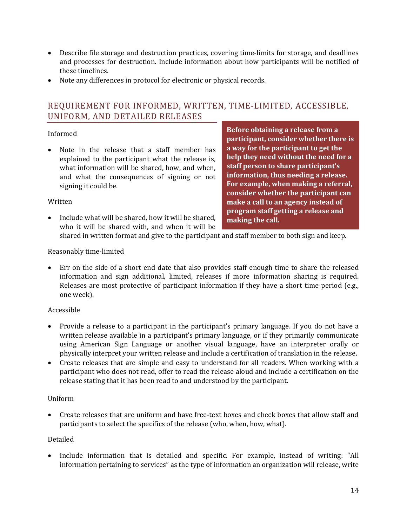- Describe file storage and destruction practices, covering time-limits for storage, and deadlines and processes for destruction. Include information about how participants will be notified of these timelines.
- Note any differences in protocol for electronic or physical records.

# REQUIREMENT FOR INFORMED, WRITTEN, TIME‐LIMITED, ACCESSIBLE, UNIFORM, AND DETAILED RELEASES

## Informed

• Note in the release that a staff member has explained to the participant what the release is, what information will be shared, how, and when, and what the consequences of signing or not signing it could be.

**Before obtaining a release from a participant, consider whether there is a way for the participant to get the help they need without the need for a staff person to share participant's information, thus needing a release. For example, when making a referral, consider whether the participant can make a call to an agency instead of program staff getting a release and making the call.**

#### Written

• Include what will be shared, how it will be shared, who it will be shared with, and when it will be

shared in written format and give to the participant and staff member to both sign and keep.

### Reasonably time‐limited

• Err on the side of a short end date that also provides staff enough time to share the released information and sign additional, limited, releases if more information sharing is required. Releases are most protective of participant information if they have a short time period (e.g., one week).

### Accessible

- Provide a release to a participant in the participant's primary language. If you do not have a written release available in a participant's primary language, or if they primarily communicate using American Sign Language or another visual language, have an interpreter orally or physically interpret your written release and include a certification of translation in the release.
- Create releases that are simple and easy to understand for all readers. When working with a participant who does not read, offer to read the release aloud and include a certification on the release stating that it has been read to and understood by the participant.

### Uniform

• Create releases that are uniform and have free-text boxes and check boxes that allow staff and participants to select the specifics of the release (who, when, how, what).

### Detailed

• Include information that is detailed and specific. For example, instead of writing: "All information pertaining to services" as the type of information an organization will release, write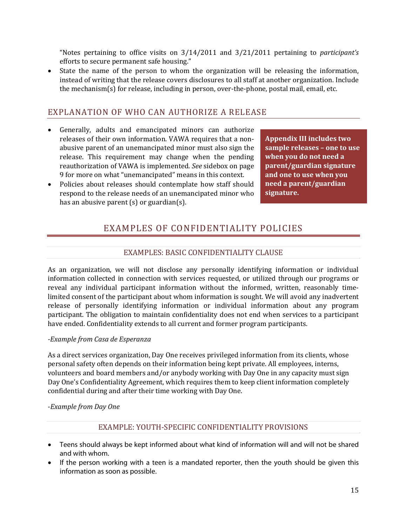"Notes pertaining to office visits on 3/14/2011 and 3/21/2011 pertaining to *participant's* efforts to secure permanent safe housing."

• State the name of the person to whom the organization will be releasing the information, instead of writing that the release covers disclosures to all staff at another organization. Include the mechanism(s) for release, including in person, over-the-phone, postal mail, email, etc.

## EXPLANATION OF WHO CAN AUTHORIZE A RELEASE

- Generally, adults and emancipated minors can authorize releases of their own information. VAWA requires that a non‐ abusive parent of an unemancipated minor must also sign the release. This requirement may change when the pending reauthorization of VAWA is implemented. *See* sidebox on page 9 for more on what "unemancipated" means in this context.
- Policies about releases should contemplate how staff should respond to the release needs of an unemancipated minor who has an abusive parent (s) or guardian(s).

**Appendix III includes two sample releases – one to use when you do not need a parent/guardian signature and one to use when you need a parent/guardian signature.**

# EXAMPLES OF CONFIDENTIALITY POLICIES

## EXAMPLES: BASIC CONFIDENTIALITY CLAUSE

As an organization, we will not disclose any personally identifying information or individual information collected in connection with services requested, or utilized through our programs or reveal any individual participant information without the informed, written, reasonably time‐ limited consent of the participant about whom information is sought. We will avoid any inadvertent release of personally identifying information or individual information about any program participant. The obligation to maintain confidentiality does not end when services to a participant have ended. Confidentiality extends to all current and former program participants.

### *Example from Casa de Esperanza*

As a direct services organization, Day One receives privileged information from its clients, whose personal safety often depends on their information being kept private. All employees, interns, volunteers and board members and/or anybody working with Day One in any capacity must sign Day One's Confidentiality Agreement, which requires them to keep client information completely confidential during and after their time working with Day One.

#### ‐*Example from Day One*

## EXAMPLE: YOUTH‐SPECIFIC CONFIDENTIALITY PROVISIONS

- Teens should always be kept informed about what kind of information will and will not be shared and with whom.
- If the person working with a teen is a mandated reporter, then the youth should be given this information as soon as possible.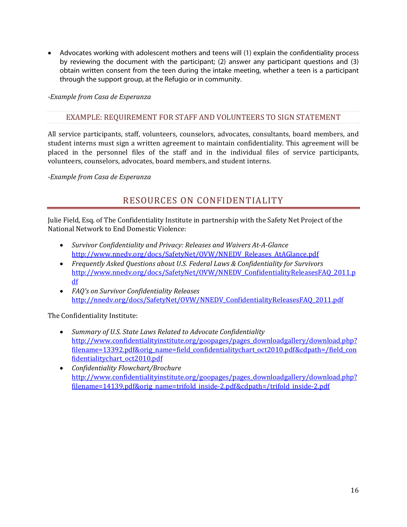• Advocates working with adolescent mothers and teens will (1) explain the confidentiality process by reviewing the document with the participant; (2) answer any participant questions and (3) obtain written consent from the teen during the intake meeting, whether a teen is a participant through the support group, at the Refugio or in community.

*Example from Casa de Esperanza*

## EXAMPLE: REQUIREMENT FOR STAFF AND VOLUNTEERS TO SIGN STATEMENT

All service participants, staff, volunteers, counselors, advocates, consultants, board members, and student interns must sign a written agreement to maintain confidentiality. This agreement will be placed in the personnel files of the staff and in the individual files of service participants, volunteers, counselors, advocates, board members, and student interns.

*Example from Casa de Esperanza* 

# RESOURCES ON CONFIDENTIALITY

Julie Field, Esq. of The Confidentiality Institute in partnership with the Safety Net Project of the National Network to End Domestic Violence:

- *Survivor Confidentiality and Privacy: Releases and Waivers AtAGlance* http://www.nnedv.org/docs/SafetyNet/OVW/NNEDV\_Releases\_AtAGlance.pdf
- *Frequently Asked Questions about U.S. Federal Laws & Confidentiality for Survivors* http://www.nnedv.org/docs/SafetyNet/OVW/NNEDV\_ConfidentialityReleasesFAQ\_2011.p df
- *FAQ's on Survivor Confidentiality Releases* http://nnedv.org/docs/SafetyNet/OVW/NNEDV\_ConfidentialityReleasesFAQ\_2011.pdf

The Confidentiality Institute:

- *Summary of U.S. State Laws Related to Advocate Confidentiality* http://www.confidentialityinstitute.org/goopages/pages\_downloadgallery/download.php? filename=13392.pdf&orig\_name=field\_confidentialitychart\_oct2010.pdf&cdpath=/field\_con fidentialitychart\_oct2010.pdf
- *Confidentiality Flowchart/Brochure* http://www.confidentialityinstitute.org/goopages/pages\_downloadgallery/download.php? filename=14139.pdf&orig\_name=trifold\_inside‐2.pdf&cdpath=/trifold\_inside‐2.pdf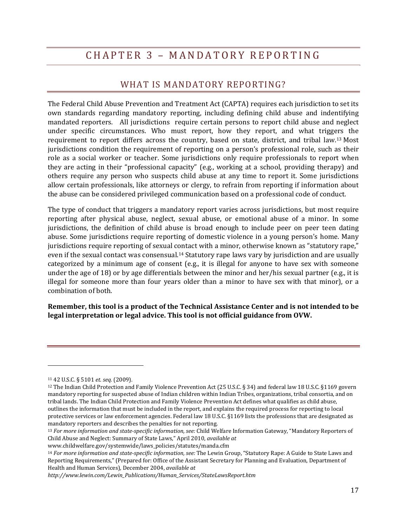# CHAPTER 3 – MANDATORY REPORTING

# WHAT IS MANDATORY REPORTING?

The Federal Child Abuse Prevention and Treatment Act (CAPTA) requires each jurisdiction to set its own standards regarding mandatory reporting, including defining child abuse and indentifying mandated reporters. All jurisdictions require certain persons to report child abuse and neglect under specific circumstances. Who must report, how they report, and what triggers the requirement to report differs across the country, based on state, district, and tribal law.13 Most jurisdictions condition the requirement of reporting on a person's professional role, such as their role as a social worker or teacher. Some jurisdictions only require professionals to report when they are acting in their "professional capacity" (e.g., working at a school, providing therapy) and others require any person who suspects child abuse at any time to report it. Some jurisdictions allow certain professionals, like attorneys or clergy, to refrain from reporting if information about the abuse can be considered privileged communication based on a professional code of conduct.

The type of conduct that triggers a mandatory report varies across jurisdictions, but most require reporting after physical abuse, neglect, sexual abuse, or emotional abuse of a minor. In some jurisdictions, the definition of child abuse is broad enough to include peer on peer teen dating abuse. Some jurisdictions require reporting of domestic violence in a young person's home. Many jurisdictions require reporting of sexual contact with a minor, otherwise known as "statutory rape," even if the sexual contact was consensual.14 Statutory rape laws vary by jurisdiction and are usually categorized by a minimum age of consent (e.g., it is illegal for anyone to have sex with someone under the age of 18) or by age differentials between the minor and her/his sexual partner (e.g., it is illegal for someone more than four years older than a minor to have sex with that minor), or a combination of both.

**Remember, this tool is a product of the Technical Assistance Center and is not intended to be legal interpretation or legal advice. This tool is not official guidance from OVW.**

<sup>11 42</sup> U.S.C. § 5101 *et. seq.* (2009).

<sup>12</sup> The Indian Child Protection and Family Violence Prevention Act (25 U.S.C. § 34) and federal law 18 U.S.C. §1169 govern mandatory reporting for suspected abuse of Indian children within Indian Tribes, organizations, tribal consortia, and on tribal lands. The Indian Child Protection and Family Violence Prevention Act defines what qualifies as child abuse, outlines the information that must be included in the report, and explains the required process for reporting to local protective services or law enforcement agencies. Federal law 18 U.S.C. §1169 lists the professions that are designated as mandatory reporters and describes the penalties for not reporting.

<sup>13</sup> *For more information and statespecific information, see:* Child Welfare Information Gateway, "Mandatory Reporters of Child Abuse and Neglect: Summary of State Laws," April 2010, *available at*

www.childwelfare.gov/systemwide/laws\_policies/statutes/manda.cfm

<sup>14</sup> *For more information and statespecific information, see:* The Lewin Group, "Statutory Rape: A Guide to State Laws and Reporting Requirements," (Prepared for: Office of the Assistant Secretary for Planning and Evaluation, Department of Health and Human Services), December 2004, *available at*

*http://www.lewin.com/Lewin\_Publications/Human\_Services/StateLawsReport.htm*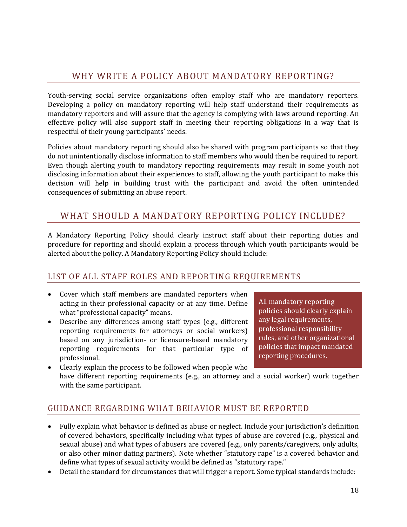# WHY WRITE A POLICY ABOUT MANDATORY REPORTING?

Youth-serving social service organizations often employ staff who are mandatory reporters. Developing a policy on mandatory reporting will help staff understand their requirements as mandatory reporters and will assure that the agency is complying with laws around reporting. An effective policy will also support staff in meeting their reporting obligations in a way that is respectful of their young participants' needs.

Policies about mandatory reporting should also be shared with program participants so that they do not unintentionally disclose information to staff members who would then be required to report. Even though alerting youth to mandatory reporting requirements may result in some youth not disclosing information about their experiences to staff, allowing the youth participant to make this decision will help in building trust with the participant and avoid the often unintended consequences of submitting an abuse report.

# WHAT SHOULD A MANDATORY REPORTING POLICY INCLUDE?

A Mandatory Reporting Policy should clearly instruct staff about their reporting duties and procedure for reporting and should explain a process through which youth participants would be alerted about the policy. A Mandatory Reporting Policy should include:

## LIST OF ALL STAFF ROLES AND REPORTING REQUIREMENTS

- Cover which staff members are mandated reporters when acting in their professional capacity or at any time. Define what "professional capacity" means.
- Describe any differences among staff types (e.g., different reporting requirements for attorneys or social workers) based on any jurisdiction- or licensure-based mandatory reporting requirements for that particular type of professional.
- All mandatory reporting policies should clearly explain any legal requirements, professional responsibility rules, and other organizational policies that impact mandated reporting procedures.
- Clearly explain the process to be followed when people who have different reporting requirements (e.g., an attorney and a social worker) work together with the same participant.

## GUIDANCE REGARDING WHAT BEHAVIOR MUST BE REPORTED

- Fully explain what behavior is defined as abuse or neglect. Include your jurisdiction's definition of covered behaviors, specifically including what types of abuse are covered (e.g., physical and sexual abuse) and what types of abusers are covered (e.g., only parents/caregivers, only adults, or also other minor dating partners). Note whether "statutory rape" is a covered behavior and define what types of sexual activity would be defined as "statutory rape."
- Detail the standard for circumstances that will trigger a report. Some typical standards include: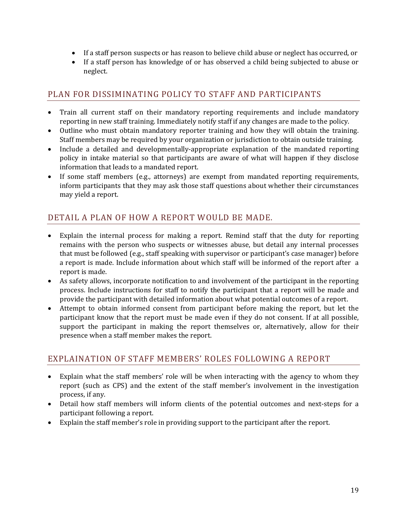- If a staff person suspects or has reason to believe child abuse or neglect has occurred, or
- If a staff person has knowledge of or has observed a child being subjected to abuse or neglect.

# PLAN FOR DISSIMINATING POLICY TO STAFF AND PARTICIPANTS

- Train all current staff on their mandatory reporting requirements and include mandatory reporting in new staff training. Immediately notify staff if any changes are made to the policy.
- Outline who must obtain mandatory reporter training and how they will obtain the training. Staff members may be required by your organization or jurisdiction to obtain outside training.
- Include a detailed and developmentally-appropriate explanation of the mandated reporting policy in intake material so that participants are aware of what will happen if they disclose information that leads to a mandated report.
- If some staff members (e.g., attorneys) are exempt from mandated reporting requirements, inform participants that they may ask those staff questions about whether their circumstances may yield a report.

# DETAIL A PLAN OF HOW A REPORT WOULD BE MADE.

- Explain the internal process for making a report. Remind staff that the duty for reporting remains with the person who suspects or witnesses abuse, but detail any internal processes that must be followed (e.g., staff speaking with supervisor or participant's case manager) before a report is made. Include information about which staff will be informed of the report after a report is made.
- As safety allows, incorporate notification to and involvement of the participant in the reporting process. Include instructions for staff to notify the participant that a report will be made and provide the participant with detailed information about what potential outcomes of a report.
- Attempt to obtain informed consent from participant before making the report, but let the participant know that the report must be made even if they do not consent. If at all possible, support the participant in making the report themselves or, alternatively, allow for their presence when a staff member makes the report.

## EXPLAINATION OF STAFF MEMBERS' ROLES FOLLOWING A REPORT

- Explain what the staff members' role will be when interacting with the agency to whom they report (such as CPS) and the extent of the staff member's involvement in the investigation process, if any.
- Detail how staff members will inform clients of the potential outcomes and next-steps for a participant following a report.
- Explain the staff member's role in providing support to the participant after the report.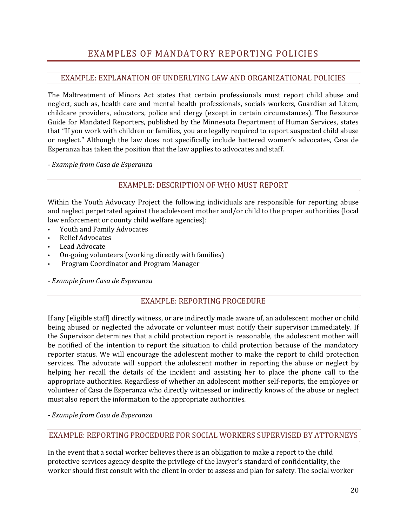# EXAMPLES OF MANDATORY REPORTING POLICIES

## EXAMPLE: EXPLANATION OF UNDERLYING LAW AND ORGANIZATIONAL POLICIES

The Maltreatment of Minors Act states that certain professionals must report child abuse and neglect, such as, health care and mental health professionals, socials workers, Guardian ad Litem, childcare providers, educators, police and clergy (except in certain circumstances). The Resource Guide for Mandated Reporters, published by the Minnesota Department of Human Services, states that "If you work with children or families, you are legally required to report suspected child abuse or neglect." Although the law does not specifically include battered women's advocates, Casa de Esperanza has taken the position that the law applies to advocates and staff.

 *Example from Casa de Esperanza*

### EXAMPLE: DESCRIPTION OF WHO MUST REPORT

Within the Youth Advocacy Project the following individuals are responsible for reporting abuse and neglect perpetrated against the adolescent mother and/or child to the proper authorities (local law enforcement or county child welfare agencies):

- Youth and Family Advocates
- Relief Advocates
- Lead Advocate
- On‐going volunteers (working directly with families)
- Program Coordinator and Program Manager

 *Example from Casa de Esperanza*

### EXAMPLE: REPORTING PROCEDURE

If any [eligible staff] directly witness, or are indirectly made aware of, an adolescent mother or child being abused or neglected the advocate or volunteer must notify their supervisor immediately. If the Supervisor determines that a child protection report is reasonable, the adolescent mother will be notified of the intention to report the situation to child protection because of the mandatory reporter status. We will encourage the adolescent mother to make the report to child protection services. The advocate will support the adolescent mother in reporting the abuse or neglect by helping her recall the details of the incident and assisting her to place the phone call to the appropriate authorities. Regardless of whether an adolescent mother self‐reports, the employee or volunteer of Casa de Esperanza who directly witnessed or indirectly knows of the abuse or neglect must also report the information to the appropriate authorities.

 *Example from Casa de Esperanza*

### EXAMPLE: REPORTING PROCEDURE FOR SOCIAL WORKERS SUPERVISED BY ATTORNEYS

In the event that a social worker believes there is an obligation to make a report to the child protective services agency despite the privilege of the lawyer's standard of confidentiality, the worker should first consult with the client in order to assess and plan for safety. The social worker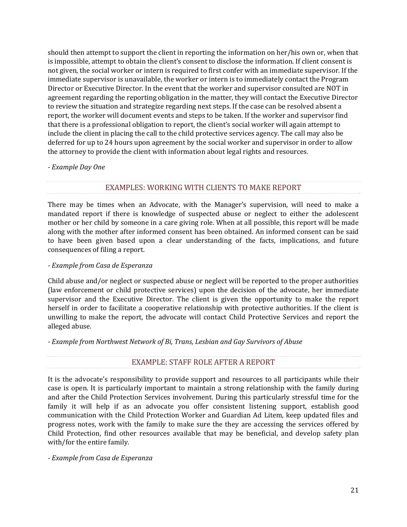should then attempt to support the client in reporting the information on her/his own or, when that is impossible, attempt to obtain the client's consent to disclose the information. If client consent is not given, the social worker or intern is required to first confer with an immediate supervisor. If the immediate supervisor is unavailable, the worker or intern is to immediately contact the Program Director or Executive Director. In the event that the worker and supervisor consulted are NOT in agreement regarding the reporting obligation in the matter, they will contact the Executive Director to review the situation and strategize regarding next steps. If the case can be resolved absent a report, the worker will document events and steps to be taken. If the worker and supervisor find that there is a professional obligation to report, the client's social worker will again attempt to include the client in placing the call to the child protective services agency. The call may also be deferred for up to 24 hours upon agreement by the social worker and supervisor in order to allow the attorney to provide the client with information about legal rights and resources.

#### *Example Day One*

## EXAMPLES: WORKING WITH CLIENTS TO MAKE REPORT

There may be times when an Advocate, with the Manager's supervision, will need to make a mandated report if there is knowledge of suspected abuse or neglect to either the adolescent mother or her child by someone in a care giving role. When at all possible, this report will be made along with the mother after informed consent has been obtained. An informed consent can be said to have been given based upon a clear understanding of the facts, implications, and future consequences of filing a report.

#### *Example from Casa de Esperanza*

Child abuse and/or neglect or suspected abuse or neglect will be reported to the proper authorities (law enforcement or child protective services) upon the decision of the advocate, her immediate supervisor and the Executive Director. The client is given the opportunity to make the report herself in order to facilitate a cooperative relationship with protective authorities. If the client is unwilling to make the report, the advocate will contact Child Protective Services and report the alleged abuse.

 *Example from Northwest Network of Bi, Trans, Lesbian and Gay Survivors of Abuse*

### EXAMPLE: STAFF ROLE AFTER A REPORT

It is the advocate's responsibility to provide support and resources to all participants while their case is open. It is particularly important to maintain a strong relationship with the family during and after the Child Protection Services involvement. During this particularly stressful time for the family it will help if as an advocate you offer consistent listening support, establish good communication with the Child Protection Worker and Guardian Ad Litem, keep updated files and progress notes, work with the family to make sure the they are accessing the services offered by Child Protection, find other resources available that may be beneficial, and develop safety plan with/for the entire family.

 *Example from Casa de Esperanza*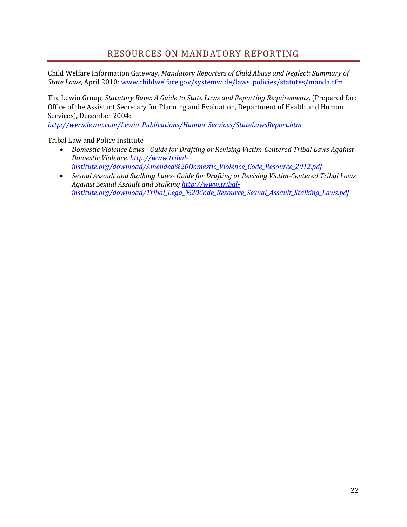# RESOURCES ON MANDATORY REPORTING

Child Welfare Information Gateway, *Mandatory Reporters of Child Abuse and Neglect: Summary of State Laws*, April 2010: www.childwelfare.gov/systemwide/laws\_policies/statutes/manda.cfm

The Lewin Group, *Statutory Rape: A Guide to State Laws and Reporting Requirements*, (Prepared for: Office of the Assistant Secretary for Planning and Evaluation, Department of Health and Human Services), December 2004:

*http://www.lewin.com/Lewin\_Publications/Human\_Services/StateLawsReport.htm*

Tribal Law and Policy Institute

- *Domestic Violence Laws Guide for Drafting or Revising VictimCentered Tribal Laws Against Domestic Violence. http://www.tribalinstitute.org/download/Amended%20Domestic\_Violence\_Code\_Resource\_2012.pdf*
- *Sexual Assault and Stalking Laws Guide for Drafting or Revising VictimCentered Tribal Laws Against Sexual Assault and Stalking http://www.tribalinstitute.org/download/Tribal\_Lega\_%20Code\_Resource\_Sexual\_Assault\_Stalking\_Laws.pdf*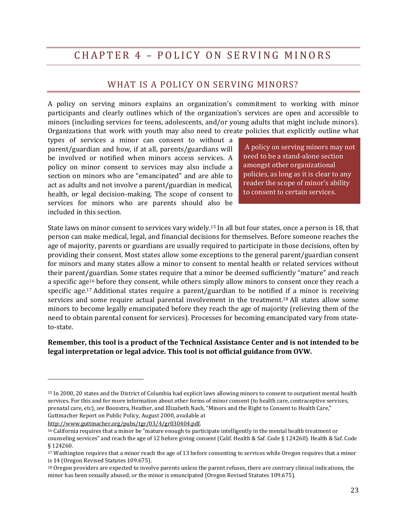# CHAPTER 4 – POLICY ON SERVING MINORS

## WHAT IS A POLICY ON SERVING MINORS?

A policy on serving minors explains an organization's commitment to working with minor participants and clearly outlines which of the organization's services are open and accessible to minors (including services for teens, adolescents, and/or young adults that might include minors). Organizations that work with youth may also need to create policies that explicitly outline what

types of services a minor can consent to without a parent/guardian and how, if at all, parents/guardians will be involved or notified when minors access services. A policy on minor consent to services may also include a section on minors who are "emancipated" and are able to act as adults and not involve a parent/guardian in medical, health, or legal decision-making. The scope of consent to services for minors who are parents should also be included in this section.

A policy on serving minors may not need to be a stand‐alone section amongst other organizational policies, as long as it is clear to any reader the scope of minor's ability to consent to certain services.

State laws on minor consent to services vary widely.15 In all but four states, once a person is 18, that person can make medical, legal, and financial decisions for themselves. Before someone reaches the age of majority, parents or guardians are usually required to participate in those decisions, often by providing their consent. Most states allow some exceptions to the general parent/guardian consent for minors and many states allow a minor to consent to mental health or related services without their parent/guardian. Some states require that a minor be deemed sufficiently "mature" and reach a specific age16 before they consent, while others simply allow minors to consent once they reach a specific age.<sup>17</sup> Additional states require a parent/guardian to be notified if a minor is receiving services and some require actual parental involvement in the treatment.<sup>18</sup> All states allow some minors to become legally emancipated before they reach the age of majority (relieving them of the need to obtain parental consent for services). Processes for becoming emancipated vary from state‐ to‐state.

#### **Remember, this tool is a product of the Technical Assistance Center and is not intended to be legal interpretation or legal advice. This tool is not official guidance from OVW.**

http://www.guttmacher.org/pubs/tgr/03/4/gr030404.pdf.

<u> 1989 - Johann Stein, marwolaethau a bh</u>

<sup>15</sup> In 2000, 20 states and the District of Columbia had explicit laws allowing minors to consent to outpatient mental health services. For this and for more information about other forms of minor consent (to health care, contraceptive services, prenatal care, etc), *see* Boonstra, Heather, and Elizabeth Nash, "Minors and the Right to Consent to Health Care," Guttmacher Report on Public Policy, August 2000, available at

<sup>16</sup> California requires that a minor be "mature enough to participate intelligently in the mental health treatment or counseling services" and reach the age of 12 before giving consent (Calif. Health & Saf. Code § 124260). Health & Saf. Code § 124260.

<sup>17</sup> Washington requires that a minor reach the age of 13 before consenting to services while Oregon requires that a minor is 14 (Oregon Revised Statutes 109.675).

<sup>&</sup>lt;sup>18</sup> Oregon providers are expected to involve parents unless the parent refuses, there are contrary clinical indications, the minor has been sexually abused, or the minor is emancipated (Oregon Revised Statutes 109.675).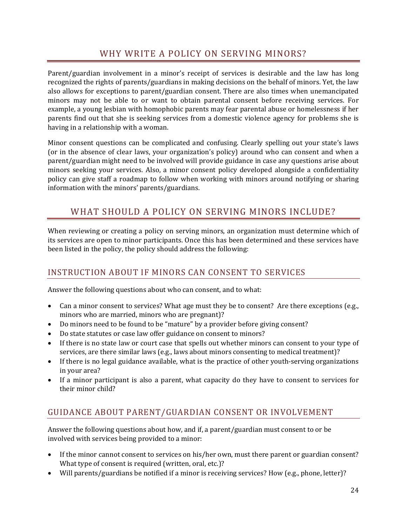# WHY WRITE A POLICY ON SERVING MINORS?

Parent/guardian involvement in a minor's receipt of services is desirable and the law has long recognized the rights of parents/guardians in making decisions on the behalf of minors. Yet, the law also allows for exceptions to parent/guardian consent. There are also times when unemancipated minors may not be able to or want to obtain parental consent before receiving services. For example, a young lesbian with homophobic parents may fear parental abuse or homelessness if her parents find out that she is seeking services from a domestic violence agency for problems she is having in a relationship with a woman.

Minor consent questions can be complicated and confusing. Clearly spelling out your state's laws (or in the absence of clear laws, your organization's policy) around who can consent and when a parent/guardian might need to be involved will provide guidance in case any questions arise about minors seeking your services. Also, a minor consent policy developed alongside a confidentiality policy can give staff a roadmap to follow when working with minors around notifying or sharing information with the minors' parents/guardians.

# WHAT SHOULD A POLICY ON SERVING MINORS INCLUDE?

When reviewing or creating a policy on serving minors, an organization must determine which of its services are open to minor participants. Once this has been determined and these services have been listed in the policy, the policy should address the following:

# INSTRUCTION ABOUT IF MINORS CAN CONSENT TO SERVICES

Answer the following questions about who can consent, and to what:

- Can a minor consent to services? What age must they be to consent? Are there exceptions (e.g., minors who are married, minors who are pregnant)?
- Do minors need to be found to be "mature" by a provider before giving consent?
- Do state statutes or case law offer guidance on consent to minors?
- If there is no state law or court case that spells out whether minors can consent to your type of services, are there similar laws (e.g., laws about minors consenting to medical treatment)?
- If there is no legal guidance available, what is the practice of other youth-serving organizations in your area?
- If a minor participant is also a parent, what capacity do they have to consent to services for their minor child?

# GUIDANCE ABOUT PARENT/GUARDIAN CONSENT OR INVOLVEMENT

Answer the following questions about how, and if, a parent/guardian must consent to or be involved with services being provided to a minor:

- If the minor cannot consent to services on his/her own, must there parent or guardian consent? What type of consent is required (written, oral, etc.)?
- Will parents/guardians be notified if a minor is receiving services? How (e.g., phone, letter)?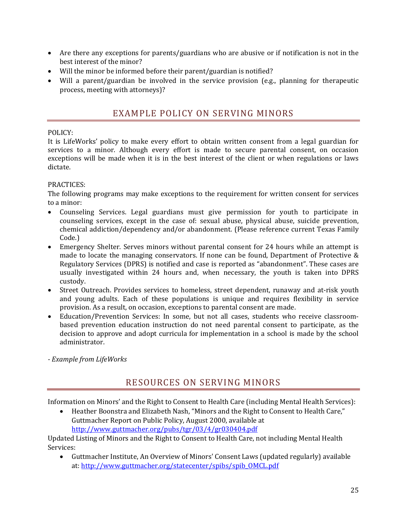- Are there any exceptions for parents/guardians who are abusive or if notification is not in the best interest of the minor?
- Will the minor be informed before their parent/guardian is notified?
- Will a parent/guardian be involved in the service provision (e.g., planning for therapeutic process, meeting with attorneys)?

# EXAMPLE POLICY ON SERVING MINORS

## POLICY:

It is LifeWorks' policy to make every effort to obtain written consent from a legal guardian for services to a minor. Although every effort is made to secure parental consent, on occasion exceptions will be made when it is in the best interest of the client or when regulations or laws dictate.

## PRACTICES:

The following programs may make exceptions to the requirement for written consent for services to a minor:

- Counseling Services. Legal guardians must give permission for youth to participate in counseling services, except in the case of: sexual abuse, physical abuse, suicide prevention, chemical addiction/dependency and/or abandonment. (Please reference current Texas Family Code.)
- Emergency Shelter. Serves minors without parental consent for 24 hours while an attempt is made to locate the managing conservators. If none can be found, Department of Protective & Regulatory Services (DPRS) is notified and case is reported as "abandonment". These cases are usually investigated within 24 hours and, when necessary, the youth is taken into DPRS custody.
- Street Outreach. Provides services to homeless, street dependent, runaway and at-risk youth and young adults. Each of these populations is unique and requires flexibility in service provision. As a result, on occasion, exceptions to parental consent are made.
- Education/Prevention Services: In some, but not all cases, students who receive classroom‐ based prevention education instruction do not need parental consent to participate, as the decision to approve and adopt curricula for implementation in a school is made by the school administrator.
- *Example from LifeWorks*

# RESOURCES ON SERVING MINORS

Information on Minors' and the Right to Consent to Health Care (including Mental Health Services):

• Heather Boonstra and Elizabeth Nash, "Minors and the Right to Consent to Health Care," Guttmacher Report on Public Policy, August 2000, available at http://www.guttmacher.org/pubs/tgr/03/4/gr030404.pdf

Updated Listing of Minors and the Right to Consent to Health Care, not including Mental Health Services:

• Guttmacher Institute, An Overview of Minors' Consent Laws (updated regularly) available at: http://www.guttmacher.org/statecenter/spibs/spib\_OMCL.pdf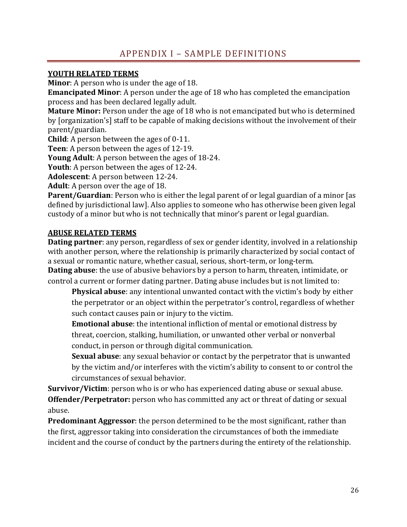# APPENDIX I – SAMPLE DEFINITIONS

## **YOUTH RELATED TERMS**

**Minor**: A person who is under the age of 18.

**Emancipated Minor**: A person under the age of 18 who has completed the emancipation process and has been declared legally adult.

**Mature Minor:** Person under the age of 18 who is not emancipated but who is determined by [organization's] staff to be capable of making decisions without the involvement of their parent/guardian.

**Child**: A person between the ages of 0‐11.

**Teen**: A person between the ages of 12‐19.

**Young Adult**: A person between the ages of 18‐24.

**Youth**: A person between the ages of 12‐24.

**Adolescent**: A person between 12‐24.

**Adult**: A person over the age of 18.

**Parent/Guardian**: Person who is either the legal parent of or legal guardian of a minor [as defined by jurisdictional law]. Also applies to someone who has otherwise been given legal custody of a minor but who is not technically that minor's parent or legal guardian.

## **ABUSE RELATED TERMS**

**Dating partner**: any person, regardless of sex or gender identity, involved in a relationship with another person, where the relationship is primarily characterized by social contact of a sexual or romantic nature, whether casual, serious, short‐term, or long‐term.

**Dating abuse**: the use of abusive behaviors by a person to harm, threaten, intimidate, or control a current or former dating partner. Dating abuse includes but is not limited to:

**Physical abuse**: any intentional unwanted contact with the victim's body by either the perpetrator or an object within the perpetrator's control, regardless of whether such contact causes pain or injury to the victim.

**Emotional abuse**: the intentional infliction of mental or emotional distress by threat, coercion, stalking, humiliation, or unwanted other verbal or nonverbal conduct, in person or through digital communication.

**Sexual abuse**: any sexual behavior or contact by the perpetrator that is unwanted by the victim and/or interferes with the victim's ability to consent to or control the circumstances of sexual behavior.

**Survivor/Victim**: person who is or who has experienced dating abuse or sexual abuse. **Offender/Perpetrator:** person who has committed any act or threat of dating or sexual abuse.

**Predominant Aggressor**: the person determined to be the most significant, rather than the first, aggressor taking into consideration the circumstances of both the immediate incident and the course of conduct by the partners during the entirety of the relationship.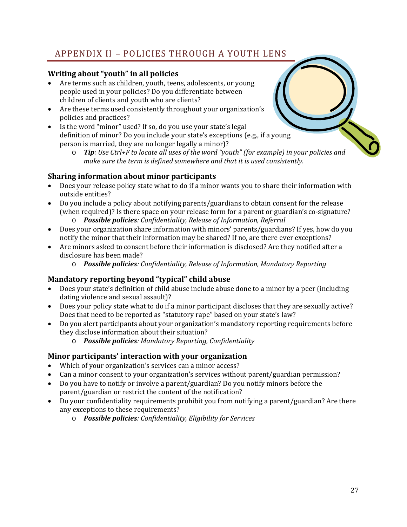# APPENDIX II – POLICIES THROUGH A YOUTH LENS

## **Writing about "youth" in all policies**

- Are terms such as children, youth, teens, adolescents, or young people used in your policies? Do you differentiate between children of clients and youth who are clients?
- Are these terms used consistently throughout your organization's policies and practices?
- Is the word "minor" used? If so, do you use your state's legal definition of minor? Do you include your state's exceptions (e.g., if a young person is married, they are no longer legally a minor)?
	- o *Tip: Use Ctrl+F to locate all uses of the word "youth" (for example) in your policies and make sure the term is defined somewhere and that it is used consistently.*

## **Sharing information about minor participants**

- Does your release policy state what to do if a minor wants you to share their information with outside entities?
- Do you include a policy about notifying parents/guardians to obtain consent for the release (when required)? Is there space on your release form for a parent or guardian's co‐signature?
	- o *Possible policies: Confidentiality, Release of Information, Referral*
- Does your organization share information with minors' parents/guardians? If yes, how do you notify the minor that their information may be shared? If no, are there ever exceptions?
- Are minors asked to consent before their information is disclosed? Are they notified after a disclosure has been made?
	- o *Possible policies: Confidentiality, Release of Information, Mandatory Reporting*

## **Mandatory reporting beyond "typical" child abuse**

- Does your state's definition of child abuse include abuse done to a minor by a peer (including dating violence and sexual assault)?
- Does your policy state what to do if a minor participant discloses that they are sexually active? Does that need to be reported as "statutory rape" based on your state's law?
- Do you alert participants about your organization's mandatory reporting requirements before they disclose information about their situation?
	- o *Possible policies: Mandatory Reporting, Confidentiality*

## **Minor participants' interaction with your organization**

- Which of your organization's services can a minor access?
- Can a minor consent to your organization's services without parent/guardian permission?
- Do you have to notify or involve a parent/guardian? Do you notify minors before the parent/guardian or restrict the content of the notification?
- Do your confidentiality requirements prohibit you from notifying a parent/guardian? Are there any exceptions to these requirements?
	- o *Possible policies: Confidentiality, Eligibility for Services*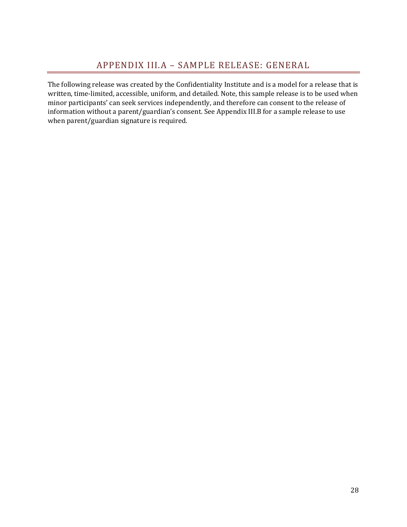The following release was created by the Confidentiality Institute and is a model for a release that is written, time‐limited, accessible, uniform, and detailed. Note, this sample release is to be used when minor participants' can seek services independently, and therefore can consent to the release of information without a parent/guardian's consent. See Appendix III.B for a sample release to use when parent/guardian signature is required.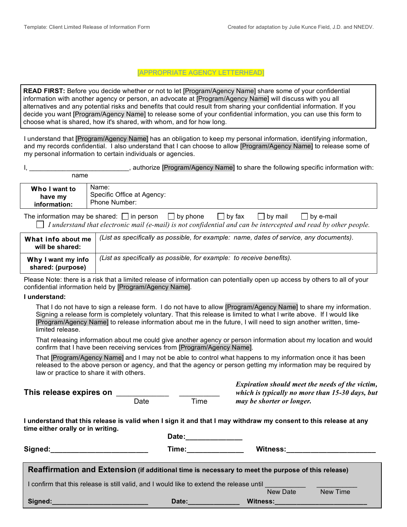#### [APPROPRIATE AGENCY LETTERHEAD]

**READ FIRST:** Before you decide whether or not to let [Program/Agency Name] share some of your confidential information with another agency or person, an advocate at [Program/Agency Name] will discuss with you all alternatives and any potential risks and benefits that could result from sharing your confidential information. If you decide you want [Program/Agency Name] to release some of your confidential information, you can use this form to choose what is shared, how it's shared, with whom, and for how long.

I understand that [Program/Agency Name] has an obligation to keep my personal information, identifying information, and my records confidential. I also understand that I can choose to allow [Program/Agency Name] to release some of my personal information to certain individuals or agencies.

|      | , authorize [Program/Agency Name] to share the following specific information with: |  |  |  |
|------|-------------------------------------------------------------------------------------|--|--|--|
| name |                                                                                     |  |  |  |

| Name:<br>Who I want to<br>Specific Office at Agency:<br>have my<br>Phone Number:<br>information: |
|--------------------------------------------------------------------------------------------------|
|--------------------------------------------------------------------------------------------------|

The information may be shared:  $\Box$  in person  $\Box$  by phone  $\Box$  by fax  $\Box$  by mail  $\Box$  by e-mail  *I understand that electronic mail (e-mail) is not confidential and can be intercepted and read by other people.*

| What info about me<br>will be shared:   | (List as specifically as possible, for example: name, dates of service, any documents). |
|-----------------------------------------|-----------------------------------------------------------------------------------------|
| Why I want my info<br>shared: (purpose) | (List as specifically as possible, for example: to receive benefits).                   |

Please Note: there is a risk that a limited release of information can potentially open up access by others to all of your confidential information held by [Program/Agency Name].

#### **I understand:**

 That I do not have to sign a release form. I do not have to allow [Program/Agency Name] to share my information. Signing a release form is completely voluntary. That this release is limited to what I write above. If I would like [Program/Agency Name] to release information about me in the future, I will need to sign another written, timelimited release.

 That releasing information about me could give another agency or person information about my location and would confirm that I have been receiving services from [Program/Agency Name].

 That [Program/Agency Name] and I may not be able to control what happens to my information once it has been released to the above person or agency, and that the agency or person getting my information may be required by law or practice to share it with others.

**This release expires on** \_\_\_\_\_\_\_\_\_\_\_\_\_ \_\_\_\_\_\_\_\_\_\_

Date Time

*Expiration should meet the needs of the victim, which is typically no more than 15-30 days, but may be shorter or longer.*

**I understand that this release is valid when I sign it and that I may withdraw my consent to this release at any time either orally or in writing.** 

| Signed:_____________________                                                                                     | Date:<br>Time: when the control of the control of the control of the control of the control of the control of the control of the control of the control of the control of the control of the control of the control of the control of t | Witness: <u>www.community.com</u> |  |  |  |
|------------------------------------------------------------------------------------------------------------------|-----------------------------------------------------------------------------------------------------------------------------------------------------------------------------------------------------------------------------------------|-----------------------------------|--|--|--|
| Reaffirmation and Extension (if additional time is necessary to meet the purpose of this release)                |                                                                                                                                                                                                                                         |                                   |  |  |  |
| I confirm that this release is still valid, and I would like to extend the release until<br>New Date<br>New Time |                                                                                                                                                                                                                                         |                                   |  |  |  |
| Signed:                                                                                                          | Date:                                                                                                                                                                                                                                   | Witness:                          |  |  |  |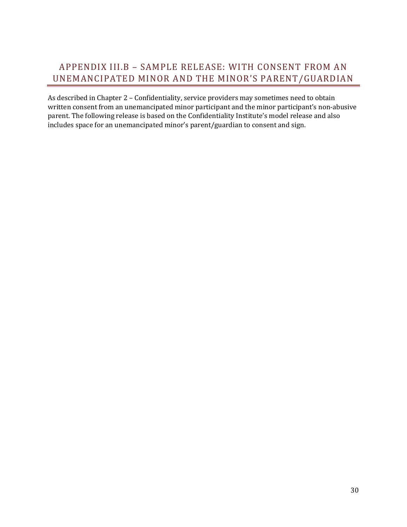# APPENDIX III.B – SAMPLE RELEASE: WITH CONSENT FROM AN UNEMANCIPATED MINOR AND THE MINOR'S PARENT/GUARDIAN

As described in Chapter 2 – Confidentiality, service providers may sometimes need to obtain written consent from an unemancipated minor participant and the minor participant's non-abusive parent. The following release is based on the Confidentiality Institute's model release and also includes space for an unemancipated minor's parent/guardian to consent and sign.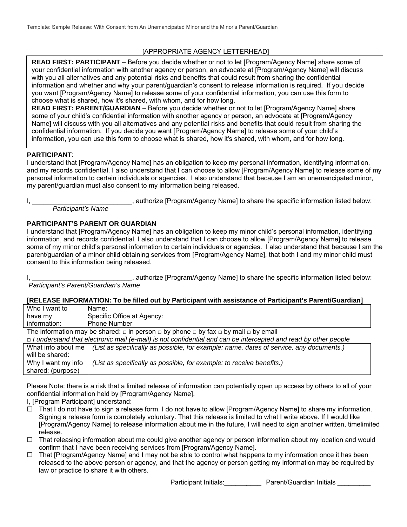### [APPROPRIATE AGENCY LETTERHEAD]

**READ FIRST: PARTICIPANT** – Before you decide whether or not to let [Program/Agency Name] share some of your confidential information with another agency or person, an advocate at [Program/Agency Name] will discuss with you all alternatives and any potential risks and benefits that could result from sharing the confidential information and whether and why your parent/guardian's consent to release information is required. If you decide you want [Program/Agency Name] to release some of your confidential information, you can use this form to choose what is shared, how it's shared, with whom, and for how long.

**READ FIRST: PARENT/GUARDIAN** – Before you decide whether or not to let [Program/Agency Name] share some of your child's confidential information with another agency or person, an advocate at [Program/Agency Name] will discuss with you all alternatives and any potential risks and benefits that could result from sharing the confidential information. If you decide you want [Program/Agency Name] to release some of your child's information, you can use this form to choose what is shared, how it's shared, with whom, and for how long.

#### **PARTICIPANT**:

I understand that [Program/Agency Name] has an obligation to keep my personal information, identifying information, and my records confidential. I also understand that I can choose to allow [Program/Agency Name] to release some of my personal information to certain individuals or agencies. I also understand that because I am an unemancipated minor, my parent/guardian must also consent to my information being released.

I, Letter the specific information listed below: authorize [Program/Agency Name] to share the specific information listed below:  *Participant's Name* 

#### **PARTICIPANT'S PARENT OR GUARDIAN**

I understand that [Program/Agency Name] has an obligation to keep my minor child's personal information, identifying information, and records confidential. I also understand that I can choose to allow [Program/Agency Name] to release some of my minor child's personal information to certain individuals or agencies. I also understand that because I am the parent/guardian of a minor child obtaining services from [Program/Agency Name], that both I and my minor child must consent to this information being released.

I, \_\_\_\_\_\_\_\_\_\_\_\_\_\_\_\_\_\_\_\_\_\_\_\_\_\_\_\_\_\_, authorize [Program/Agency Name] to share the specific information listed below:  *Participant's Parent/Guardian's Name* 

**[RELEASE INFORMATION: To be filled out by Participant with assistance of Participant's Parent/Guardian]** 

| Who I want to | Name:                      |
|---------------|----------------------------|
| have my       | Specific Office at Agency: |
| information:  | Phone Number               |

The information may be shared:  $\Box$  in person  $\Box$  by phone  $\Box$  by fax  $\Box$  by mail  $\Box$  by email

| $\Box$ I understand that electronic mail (e-mail) is not confidential and can be intercepted and read by other people |                                                                                                                   |  |  |  |
|-----------------------------------------------------------------------------------------------------------------------|-------------------------------------------------------------------------------------------------------------------|--|--|--|
|                                                                                                                       | What info about me $\int$ (List as specifically as possible, for example: name, dates of service, any documents.) |  |  |  |
| will be shared:                                                                                                       |                                                                                                                   |  |  |  |
| Why I want my info                                                                                                    | (List as specifically as possible, for example: to receive benefits.)                                             |  |  |  |
| shared: (purpose)                                                                                                     |                                                                                                                   |  |  |  |

Please Note: there is a risk that a limited release of information can potentially open up access by others to all of your confidential information held by [Program/Agency Name].

I, [Program Participant] understand:

- $\Box$  That I do not have to sign a release form. I do not have to allow [Program/Agency Name] to share my information. Signing a release form is completely voluntary. That this release is limited to what I write above. If I would like [Program/Agency Name] to release information about me in the future, I will need to sign another written, timelimited release.
- $\Box$  That releasing information about me could give another agency or person information about my location and would confirm that I have been receiving services from [Program/Agency Name].
- $\Box$  That [Program/Agency Name] and I may not be able to control what happens to my information once it has been released to the above person or agency, and that the agency or person getting my information may be required by law or practice to share it with others.

Participant Initials: \_\_\_\_\_\_\_\_\_\_ Parent/Guardian Initials \_\_\_\_\_